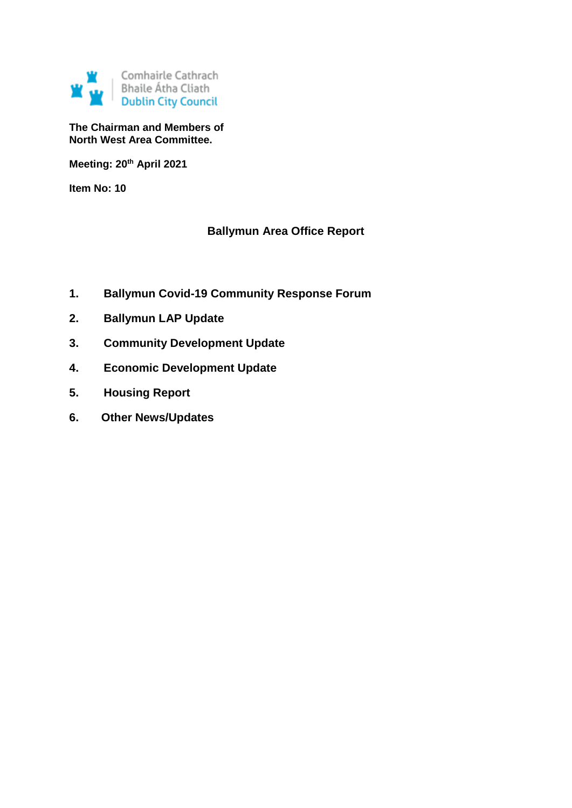

**The Chairman and Members of North West Area Committee.**

**Meeting: 20th April 2021**

**Item No: 10**

# **Ballymun Area Office Report**

- **1. Ballymun Covid-19 Community Response Forum**
- **2. Ballymun LAP Update**
- **3. Community Development Update**
- **4. Economic Development Update**
- **5. Housing Report**
- **6. Other News/Updates**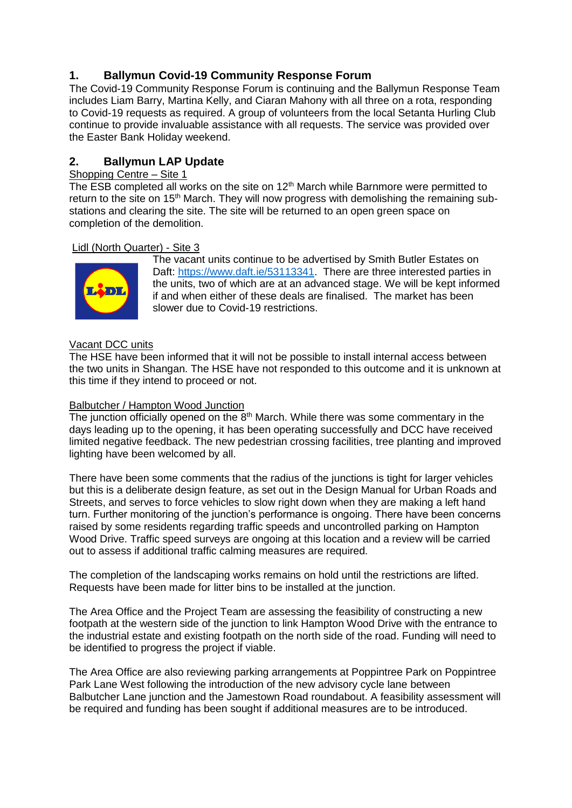# **1. Ballymun Covid-19 Community Response Forum**

The Covid-19 Community Response Forum is continuing and the Ballymun Response Team includes Liam Barry, Martina Kelly, and Ciaran Mahony with all three on a rota, responding to Covid-19 requests as required. A group of volunteers from the local Setanta Hurling Club continue to provide invaluable assistance with all requests. The service was provided over the Easter Bank Holiday weekend.

# **2. Ballymun LAP Update**

# Shopping Centre – Site 1

The ESB completed all works on the site on 12<sup>th</sup> March while Barnmore were permitted to return to the site on 15<sup>th</sup> March. They will now progress with demolishing the remaining substations and clearing the site. The site will be returned to an open green space on completion of the demolition.

# Lidl (North Quarter) - Site 3



The vacant units continue to be advertised by Smith Butler Estates on Daft: [https://www.daft.ie/53113341.](https://www.daft.ie/53113341) There are three interested parties in the units, two of which are at an advanced stage. We will be kept informed if and when either of these deals are finalised. The market has been slower due to Covid-19 restrictions.

## Vacant DCC units

The HSE have been informed that it will not be possible to install internal access between the two units in Shangan. The HSE have not responded to this outcome and it is unknown at this time if they intend to proceed or not.

## Balbutcher / Hampton Wood Junction

The junction officially opened on the  $8<sup>th</sup>$  March. While there was some commentary in the days leading up to the opening, it has been operating successfully and DCC have received limited negative feedback. The new pedestrian crossing facilities, tree planting and improved lighting have been welcomed by all.

There have been some comments that the radius of the junctions is tight for larger vehicles but this is a deliberate design feature, as set out in the Design Manual for Urban Roads and Streets, and serves to force vehicles to slow right down when they are making a left hand turn. Further monitoring of the junction's performance is ongoing. There have been concerns raised by some residents regarding traffic speeds and uncontrolled parking on Hampton Wood Drive. Traffic speed surveys are ongoing at this location and a review will be carried out to assess if additional traffic calming measures are required.

The completion of the landscaping works remains on hold until the restrictions are lifted. Requests have been made for litter bins to be installed at the junction.

The Area Office and the Project Team are assessing the feasibility of constructing a new footpath at the western side of the junction to link Hampton Wood Drive with the entrance to the industrial estate and existing footpath on the north side of the road. Funding will need to be identified to progress the project if viable.

The Area Office are also reviewing parking arrangements at Poppintree Park on Poppintree Park Lane West following the introduction of the new advisory cycle lane between Balbutcher Lane junction and the Jamestown Road roundabout. A feasibility assessment will be required and funding has been sought if additional measures are to be introduced.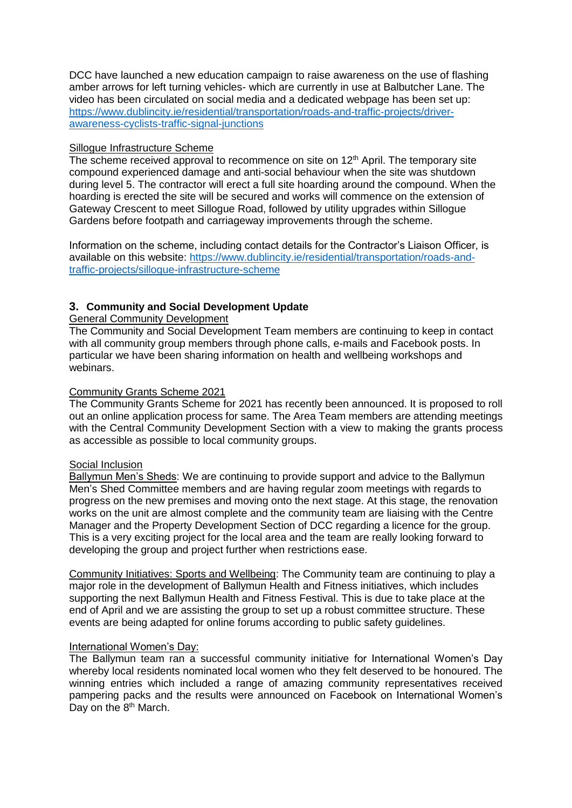DCC have launched a new education campaign to raise awareness on the use of flashing amber arrows for left turning vehicles- which are currently in use at Balbutcher Lane. The video has been circulated on social media and a dedicated webpage has been set up: [https://www.dublincity.ie/residential/transportation/roads-and-traffic-projects/driver](https://www.dublincity.ie/residential/transportation/roads-and-traffic-projects/driver-awareness-cyclists-traffic-signal-junctions)[awareness-cyclists-traffic-signal-junctions](https://www.dublincity.ie/residential/transportation/roads-and-traffic-projects/driver-awareness-cyclists-traffic-signal-junctions)

#### Sillogue Infrastructure Scheme

The scheme received approval to recommence on site on 12<sup>th</sup> April. The temporary site compound experienced damage and anti-social behaviour when the site was shutdown during level 5. The contractor will erect a full site hoarding around the compound. When the hoarding is erected the site will be secured and works will commence on the extension of Gateway Crescent to meet Sillogue Road, followed by utility upgrades within Sillogue Gardens before footpath and carriageway improvements through the scheme.

Information on the scheme, including contact details for the Contractor's Liaison Officer, is available on this website: [https://www.dublincity.ie/residential/transportation/roads-and](https://www.dublincity.ie/residential/transportation/roads-and-traffic-projects/sillogue-infrastructure-scheme)[traffic-projects/sillogue-infrastructure-scheme](https://www.dublincity.ie/residential/transportation/roads-and-traffic-projects/sillogue-infrastructure-scheme)

# **3. Community and Social Development Update**

General Community Development

The Community and Social Development Team members are continuing to keep in contact with all community group members through phone calls, e-mails and Facebook posts. In particular we have been sharing information on health and wellbeing workshops and webinars.

#### Community Grants Scheme 2021

The Community Grants Scheme for 2021 has recently been announced. It is proposed to roll out an online application process for same. The Area Team members are attending meetings with the Central Community Development Section with a view to making the grants process as accessible as possible to local community groups.

#### Social Inclusion

Ballymun Men's Sheds: We are continuing to provide support and advice to the Ballymun Men's Shed Committee members and are having regular zoom meetings with regards to progress on the new premises and moving onto the next stage. At this stage, the renovation works on the unit are almost complete and the community team are liaising with the Centre Manager and the Property Development Section of DCC regarding a licence for the group. This is a very exciting project for the local area and the team are really looking forward to developing the group and project further when restrictions ease.

Community Initiatives: Sports and Wellbeing: The Community team are continuing to play a major role in the development of Ballymun Health and Fitness initiatives, which includes supporting the next Ballymun Health and Fitness Festival. This is due to take place at the end of April and we are assisting the group to set up a robust committee structure. These events are being adapted for online forums according to public safety guidelines.

#### International Women's Day:

The Ballymun team ran a successful community initiative for International Women's Day whereby local residents nominated local women who they felt deserved to be honoured. The winning entries which included a range of amazing community representatives received pampering packs and the results were announced on Facebook on International Women's Day on the 8<sup>th</sup> March.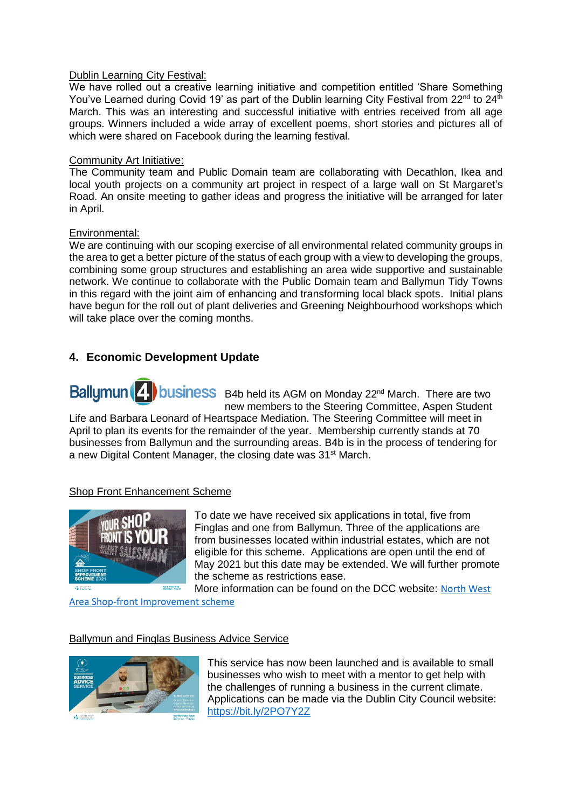#### Dublin Learning City Festival:

We have rolled out a creative learning initiative and competition entitled 'Share Something You've Learned during Covid 19' as part of the Dublin learning City Festival from  $22^{nd}$  to  $24^{th}$ March. This was an interesting and successful initiative with entries received from all age groups. Winners included a wide array of excellent poems, short stories and pictures all of which were shared on Facebook during the learning festival.

#### Community Art Initiative:

The Community team and Public Domain team are collaborating with Decathlon, Ikea and local youth projects on a community art project in respect of a large wall on St Margaret's Road. An onsite meeting to gather ideas and progress the initiative will be arranged for later in April.

#### Environmental:

We are continuing with our scoping exercise of all environmental related community groups in the area to get a better picture of the status of each group with a view to developing the groups, combining some group structures and establishing an area wide supportive and sustainable network. We continue to collaborate with the Public Domain team and Ballymun Tidy Towns in this regard with the joint aim of enhancing and transforming local black spots. Initial plans have begun for the roll out of plant deliveries and Greening Neighbourhood workshops which will take place over the coming months.

# **4. Economic Development Update**

Ballumun<sup>(2)</sup> business B4b held its AGM on Monday 22<sup>nd</sup> March. There are two new members to the Steering Committee, Aspen Student

Life and Barbara Leonard of Heartspace Mediation. The Steering Committee will meet in April to plan its events for the remainder of the year. Membership currently stands at 70 businesses from Ballymun and the surrounding areas. B4b is in the process of tendering for a new Digital Content Manager, the closing date was 31<sup>st</sup> March.

## Shop Front Enhancement Scheme



To date we have received six applications in total, five from Finglas and one from Ballymun. Three of the applications are from businesses located within industrial estates, which are not eligible for this scheme. Applications are open until the end of May 2021 but this date may be extended. We will further promote the scheme as restrictions ease.

More information can be found on the DCC website: [North West](https://www.dublincity.ie/council/council-explained/your-area/north-west-area/shop-front-improvement-scheme-2021?fbclid=IwAR24sU2GgNEsT7RWXo2Ij1lmTSXqRY-GtrW_wSj1E67dfjqicsLM9D6W-rc) 

[Area Shop-front Improvement scheme](https://www.dublincity.ie/council/council-explained/your-area/north-west-area/shop-front-improvement-scheme-2021?fbclid=IwAR24sU2GgNEsT7RWXo2Ij1lmTSXqRY-GtrW_wSj1E67dfjqicsLM9D6W-rc)

## Ballymun and Finglas Business Advice Service



This service has now been launched and is available to small businesses who wish to meet with a mentor to get help with the challenges of running a business in the current climate. Applications can be made via the Dublin City Council website: <https://bit.ly/2PO7Y2Z>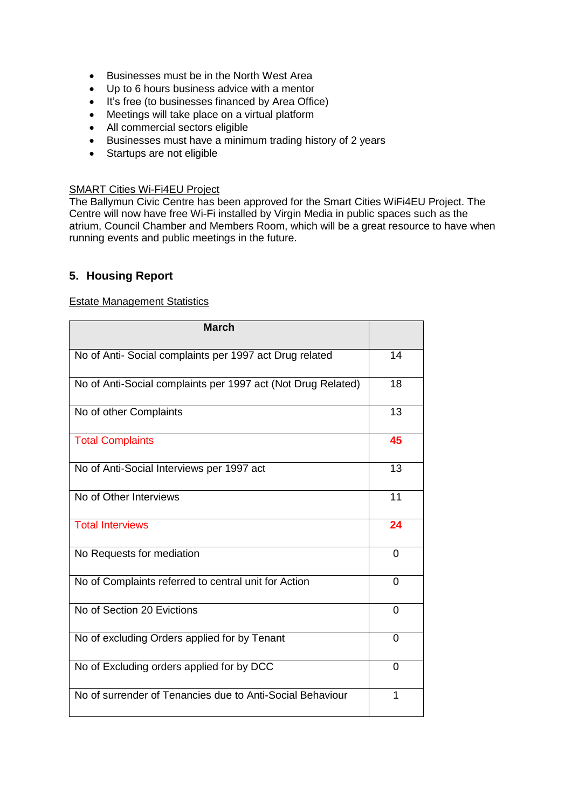- Businesses must be in the North West Area
- Up to 6 hours business advice with a mentor
- It's free (to businesses financed by Area Office)
- Meetings will take place on a virtual platform
- All commercial sectors eligible
- Businesses must have a minimum trading history of 2 years
- Startups are not eligible

# SMART Cities Wi-Fi4EU Project

The Ballymun Civic Centre has been approved for the Smart Cities WiFi4EU Project. The Centre will now have free Wi-Fi installed by Virgin Media in public spaces such as the atrium, Council Chamber and Members Room, which will be a great resource to have when running events and public meetings in the future.

# **5. Housing Report**

#### Estate Management Statistics

| <b>March</b>                                                 |          |
|--------------------------------------------------------------|----------|
| No of Anti- Social complaints per 1997 act Drug related      | 14       |
| No of Anti-Social complaints per 1997 act (Not Drug Related) | 18       |
| No of other Complaints                                       | 13       |
| <b>Total Complaints</b>                                      | 45       |
| No of Anti-Social Interviews per 1997 act                    | 13       |
| No of Other Interviews                                       | 11       |
| <b>Total Interviews</b>                                      | 24       |
| No Requests for mediation                                    | $\Omega$ |
| No of Complaints referred to central unit for Action         | $\Omega$ |
| No of Section 20 Evictions                                   | 0        |
| No of excluding Orders applied for by Tenant                 | $\Omega$ |
| No of Excluding orders applied for by DCC                    | $\Omega$ |
| No of surrender of Tenancies due to Anti-Social Behaviour    | 1        |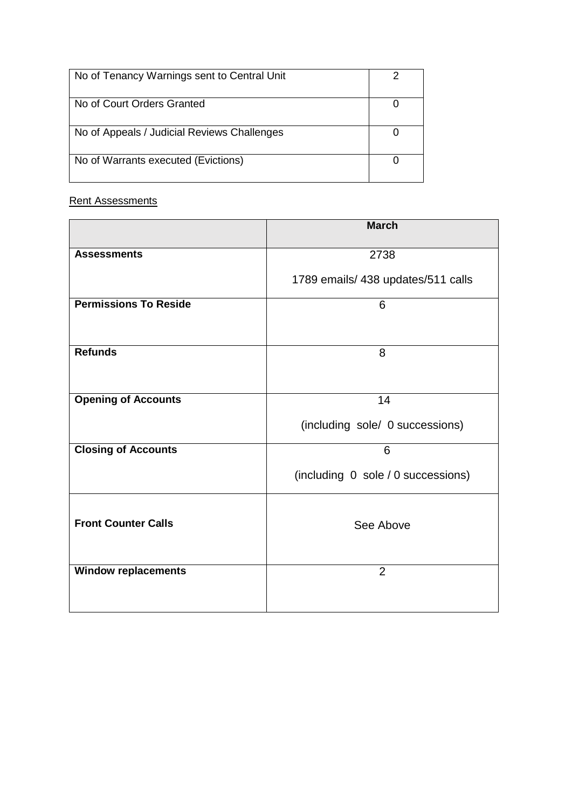| No of Tenancy Warnings sent to Central Unit |  |
|---------------------------------------------|--|
| No of Court Orders Granted                  |  |
| No of Appeals / Judicial Reviews Challenges |  |
| No of Warrants executed (Evictions)         |  |

# Rent Assessments

|                              | <b>March</b>                       |  |
|------------------------------|------------------------------------|--|
| <b>Assessments</b>           | 2738                               |  |
|                              | 1789 emails/ 438 updates/511 calls |  |
| <b>Permissions To Reside</b> | 6                                  |  |
| <b>Refunds</b>               | 8                                  |  |
| <b>Opening of Accounts</b>   | 14                                 |  |
|                              | (including sole/ 0 successions)    |  |
| <b>Closing of Accounts</b>   | 6                                  |  |
|                              | (including 0 sole / 0 successions) |  |
| <b>Front Counter Calls</b>   | See Above                          |  |
| <b>Window replacements</b>   | $\overline{2}$                     |  |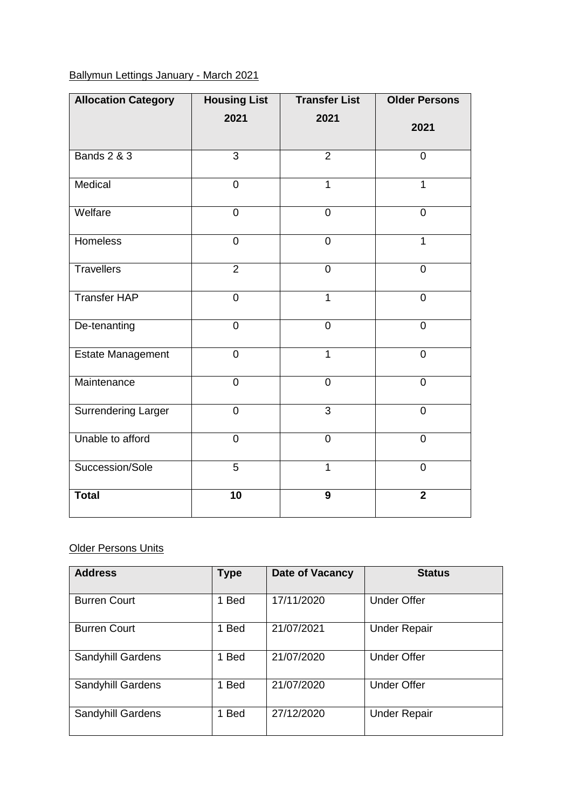# Ballymun Lettings January - March 2021

| <b>Allocation Category</b> | <b>Housing List</b> | <b>Transfer List</b> | <b>Older Persons</b> |
|----------------------------|---------------------|----------------------|----------------------|
|                            | 2021                | 2021                 | 2021                 |
| <b>Bands 2 &amp; 3</b>     | 3                   | $\overline{2}$       | $\overline{0}$       |
| Medical                    | $\mathbf 0$         | $\mathbf{1}$         | $\mathbf 1$          |
| Welfare                    | $\overline{0}$      | $\mathbf 0$          | $\overline{0}$       |
| <b>Homeless</b>            | $\overline{0}$      | $\overline{0}$       | $\overline{1}$       |
| <b>Travellers</b>          | $\overline{2}$      | $\overline{0}$       | $\overline{0}$       |
| <b>Transfer HAP</b>        | $\mathbf 0$         | $\mathbf{1}$         | $\overline{0}$       |
| De-tenanting               | $\mathbf 0$         | $\mathbf 0$          | $\overline{0}$       |
| <b>Estate Management</b>   | $\overline{0}$      | $\overline{1}$       | $\overline{0}$       |
| Maintenance                | $\mathbf 0$         | $\mathbf 0$          | $\overline{0}$       |
| <b>Surrendering Larger</b> | $\mathbf 0$         | 3                    | $\overline{0}$       |
| Unable to afford           | $\overline{0}$      | 0                    | $\overline{0}$       |
| Succession/Sole            | $\overline{5}$      | $\overline{1}$       | $\overline{0}$       |
| <b>Total</b>               | $\overline{10}$     | 9                    | $\overline{2}$       |

## **Older Persons Units**

| <b>Address</b>      | <b>Type</b> | Date of Vacancy | <b>Status</b>       |
|---------------------|-------------|-----------------|---------------------|
| <b>Burren Court</b> | 1 Bed       | 17/11/2020      | <b>Under Offer</b>  |
| <b>Burren Court</b> | 1 Bed       | 21/07/2021      | <b>Under Repair</b> |
| Sandyhill Gardens   | 1 Bed       | 21/07/2020      | <b>Under Offer</b>  |
| Sandyhill Gardens   | 1 Bed       | 21/07/2020      | <b>Under Offer</b>  |
| Sandyhill Gardens   | <b>Bed</b>  | 27/12/2020      | <b>Under Repair</b> |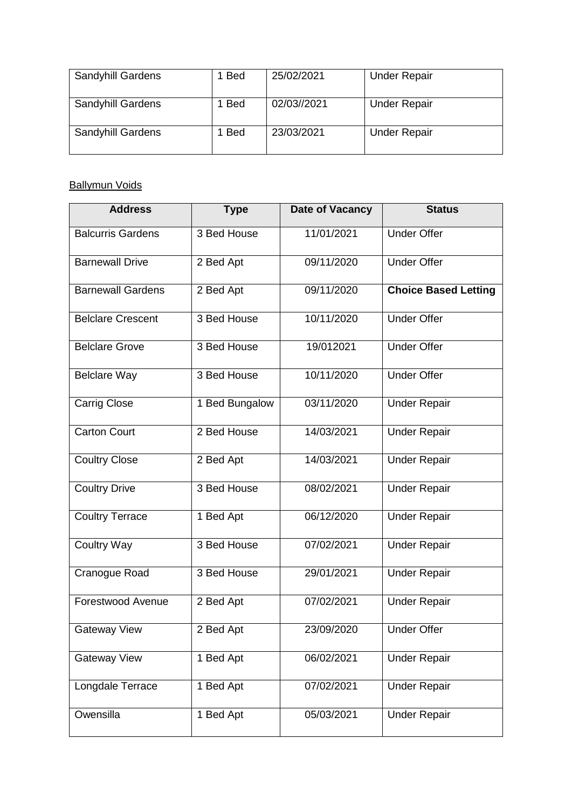| <b>Sandyhill Gardens</b> | <b>Bed</b> | 25/02/2021  | <b>Under Repair</b> |
|--------------------------|------------|-------------|---------------------|
| <b>Sandyhill Gardens</b> | <b>Bed</b> | 02/03//2021 | <b>Under Repair</b> |
| <b>Sandyhill Gardens</b> | <b>Bed</b> | 23/03/2021  | <b>Under Repair</b> |

# **Ballymun Voids**

| <b>Address</b>           | <b>Type</b>    | <b>Date of Vacancy</b> | <b>Status</b>               |
|--------------------------|----------------|------------------------|-----------------------------|
| <b>Balcurris Gardens</b> | 3 Bed House    | 11/01/2021             | <b>Under Offer</b>          |
| <b>Barnewall Drive</b>   | 2 Bed Apt      | 09/11/2020             | <b>Under Offer</b>          |
| <b>Barnewall Gardens</b> | 2 Bed Apt      | 09/11/2020             | <b>Choice Based Letting</b> |
| <b>Belclare Crescent</b> | 3 Bed House    | 10/11/2020             | <b>Under Offer</b>          |
| <b>Belclare Grove</b>    | 3 Bed House    | 19/012021              | <b>Under Offer</b>          |
| <b>Belclare Way</b>      | 3 Bed House    | 10/11/2020             | <b>Under Offer</b>          |
| <b>Carrig Close</b>      | 1 Bed Bungalow | 03/11/2020             | <b>Under Repair</b>         |
| <b>Carton Court</b>      | 2 Bed House    | 14/03/2021             | <b>Under Repair</b>         |
| <b>Coultry Close</b>     | 2 Bed Apt      | 14/03/2021             | <b>Under Repair</b>         |
| <b>Coultry Drive</b>     | 3 Bed House    | 08/02/2021             | <b>Under Repair</b>         |
| <b>Coultry Terrace</b>   | 1 Bed Apt      | 06/12/2020             | <b>Under Repair</b>         |
| <b>Coultry Way</b>       | 3 Bed House    | 07/02/2021             | <b>Under Repair</b>         |
| Cranogue Road            | 3 Bed House    | 29/01/2021             | <b>Under Repair</b>         |
| Forestwood Avenue        | 2 Bed Apt      | 07/02/2021             | <b>Under Repair</b>         |
| Gateway View             | 2 Bed Apt      | 23/09/2020             | <b>Under Offer</b>          |
| <b>Gateway View</b>      | 1 Bed Apt      | 06/02/2021             | <b>Under Repair</b>         |
| Longdale Terrace         | 1 Bed Apt      | 07/02/2021             | <b>Under Repair</b>         |
| Owensilla                | 1 Bed Apt      | 05/03/2021             | <b>Under Repair</b>         |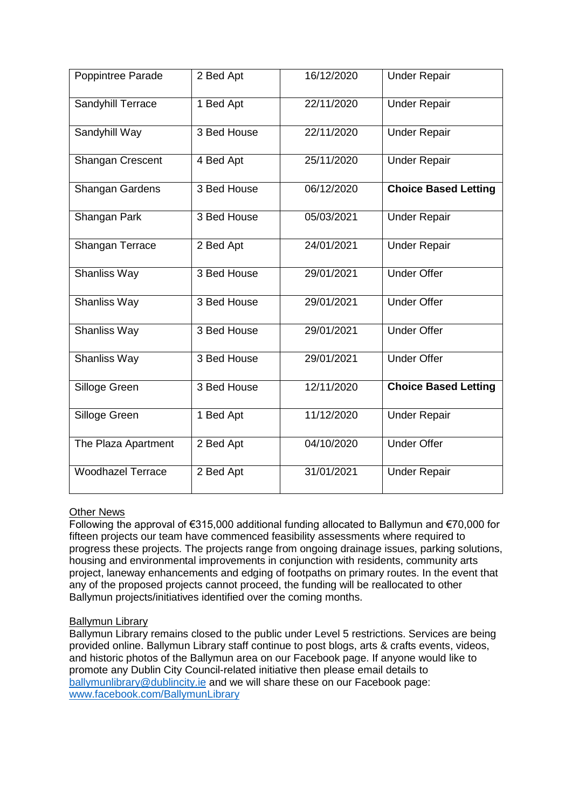| Poppintree Parade        | 2 Bed Apt   | 16/12/2020 | <b>Under Repair</b>         |
|--------------------------|-------------|------------|-----------------------------|
| Sandyhill Terrace        | 1 Bed Apt   | 22/11/2020 | <b>Under Repair</b>         |
| Sandyhill Way            | 3 Bed House | 22/11/2020 | <b>Under Repair</b>         |
| Shangan Crescent         | 4 Bed Apt   | 25/11/2020 | <b>Under Repair</b>         |
| Shangan Gardens          | 3 Bed House | 06/12/2020 | <b>Choice Based Letting</b> |
| Shangan Park             | 3 Bed House | 05/03/2021 | <b>Under Repair</b>         |
| Shangan Terrace          | 2 Bed Apt   | 24/01/2021 | <b>Under Repair</b>         |
| Shanliss Way             | 3 Bed House | 29/01/2021 | <b>Under Offer</b>          |
| <b>Shanliss Way</b>      | 3 Bed House | 29/01/2021 | <b>Under Offer</b>          |
| Shanliss Way             | 3 Bed House | 29/01/2021 | <b>Under Offer</b>          |
| <b>Shanliss Way</b>      | 3 Bed House | 29/01/2021 | <b>Under Offer</b>          |
| Silloge Green            | 3 Bed House | 12/11/2020 | <b>Choice Based Letting</b> |
| Silloge Green            | 1 Bed Apt   | 11/12/2020 | <b>Under Repair</b>         |
| The Plaza Apartment      | 2 Bed Apt   | 04/10/2020 | <b>Under Offer</b>          |
| <b>Woodhazel Terrace</b> | 2 Bed Apt   | 31/01/2021 | <b>Under Repair</b>         |

# **Other News**

Following the approval of €315,000 additional funding allocated to Ballymun and €70,000 for fifteen projects our team have commenced feasibility assessments where required to progress these projects. The projects range from ongoing drainage issues, parking solutions, housing and environmental improvements in conjunction with residents, community arts project, laneway enhancements and edging of footpaths on primary routes. In the event that any of the proposed projects cannot proceed, the funding will be reallocated to other Ballymun projects/initiatives identified over the coming months.

#### Ballymun Library

Ballymun Library remains closed to the public under Level 5 restrictions. Services are being provided online. Ballymun Library staff continue to post blogs, arts & crafts events, videos, and historic photos of the Ballymun area on our Facebook page. If anyone would like to promote any Dublin City Council-related initiative then please email details to [ballymunlibrary@dublincity.ie](mailto:ballymunlibrary@dublincity.ie) and we will share these on our Facebook page: [www.facebook.com/BallymunLibrary](http://www.facebook.com/BallymunLibrary)